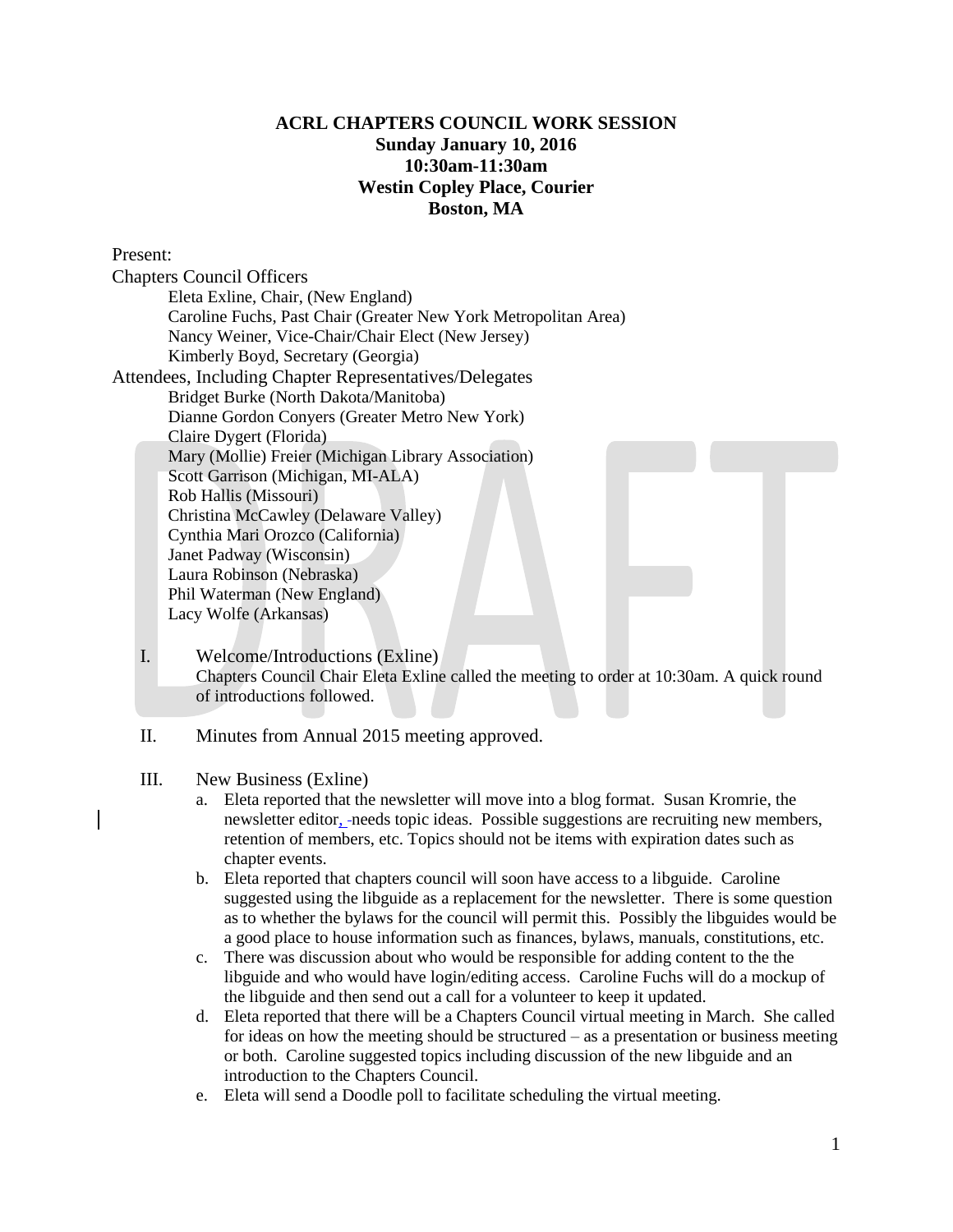## **ACRL CHAPTERS COUNCIL WORK SESSION Sunday January 10, 2016 10:30am-11:30am Westin Copley Place, Courier Boston, MA**

Present:

Chapters Council Officers Eleta Exline, Chair, (New England) Caroline Fuchs, Past Chair (Greater New York Metropolitan Area) Nancy Weiner, Vice-Chair/Chair Elect (New Jersey) Kimberly Boyd, Secretary (Georgia) Attendees, Including Chapter Representatives/Delegates Bridget Burke (North Dakota/Manitoba) Dianne Gordon Conyers (Greater Metro New York) Claire Dygert (Florida) Mary (Mollie) Freier (Michigan Library Association) Scott Garrison (Michigan, MI-ALA) Rob Hallis (Missouri) Christina McCawley (Delaware Valley) Cynthia Mari Orozco (California) Janet Padway (Wisconsin) Laura Robinson (Nebraska) Phil Waterman (New England) Lacy Wolfe (Arkansas)

- I. Welcome/Introductions (Exline) Chapters Council Chair Eleta Exline called the meeting to order at 10:30am. A quick round of introductions followed.
- II. Minutes from Annual 2015 meeting approved.
- III. New Business (Exline)
	- a. Eleta reported that the newsletter will move into a blog format. Susan Kromrie, the newsletter editor, needs topic ideas. Possible suggestions are recruiting new members, retention of members, etc. Topics should not be items with expiration dates such as chapter events.
	- b. Eleta reported that chapters council will soon have access to a libguide. Caroline suggested using the libguide as a replacement for the newsletter. There is some question as to whether the bylaws for the council will permit this. Possibly the libguides would be a good place to house information such as finances, bylaws, manuals, constitutions, etc.
	- c. There was discussion about who would be responsible for adding content to the the libguide and who would have login/editing access. Caroline Fuchs will do a mockup of the libguide and then send out a call for a volunteer to keep it updated.
	- d. Eleta reported that there will be a Chapters Council virtual meeting in March. She called for ideas on how the meeting should be structured – as a presentation or business meeting or both. Caroline suggested topics including discussion of the new libguide and an introduction to the Chapters Council.
	- e. Eleta will send a Doodle poll to facilitate scheduling the virtual meeting.